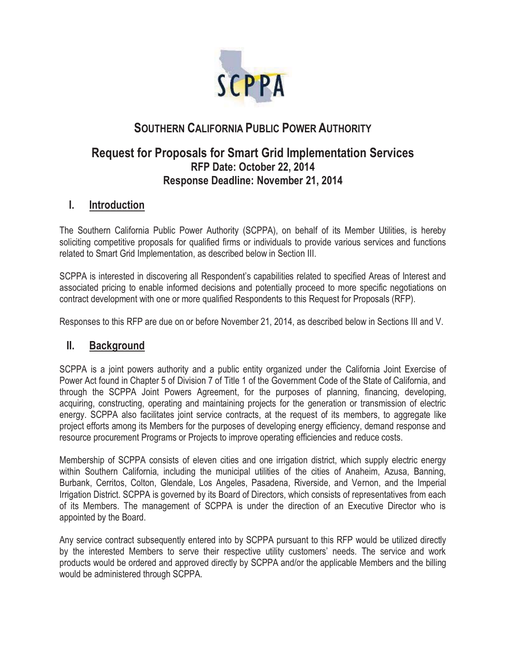

# **SOUTHERN CALIFORNIA PUBLIC POWER AUTHORITY**

## **Request for Proposals for Smart Grid Implementation Services RFP Date: October 22, 2014 Response Deadline: November 21, 2014**

### **I. Introduction**

The Southern California Public Power Authority (SCPPA), on behalf of its Member Utilities, is hereby soliciting competitive proposals for qualified firms or individuals to provide various services and functions related to Smart Grid Implementation, as described below in Section III.

SCPPA is interested in discovering all Respondent's capabilities related to specified Areas of Interest and associated pricing to enable informed decisions and potentially proceed to more specific negotiations on contract development with one or more qualified Respondents to this Request for Proposals (RFP).

Responses to this RFP are due on or before November 21, 2014, as described below in Sections III and V.

### **II. Background**

SCPPA is a joint powers authority and a public entity organized under the California Joint Exercise of Power Act found in Chapter 5 of Division 7 of Title 1 of the Government Code of the State of California, and through the SCPPA Joint Powers Agreement, for the purposes of planning, financing, developing, acquiring, constructing, operating and maintaining projects for the generation or transmission of electric energy. SCPPA also facilitates joint service contracts, at the request of its members, to aggregate like project efforts among its Members for the purposes of developing energy efficiency, demand response and resource procurement Programs or Projects to improve operating efficiencies and reduce costs.

Membership of SCPPA consists of eleven cities and one irrigation district, which supply electric energy within Southern California, including the municipal utilities of the cities of Anaheim, Azusa, Banning, Burbank, Cerritos, Colton, Glendale, Los Angeles, Pasadena, Riverside, and Vernon, and the Imperial Irrigation District. SCPPA is governed by its Board of Directors, which consists of representatives from each of its Members. The management of SCPPA is under the direction of an Executive Director who is appointed by the Board.

Any service contract subsequently entered into by SCPPA pursuant to this RFP would be utilized directly by the interested Members to serve their respective utility customers' needs. The service and work products would be ordered and approved directly by SCPPA and/or the applicable Members and the billing would be administered through SCPPA.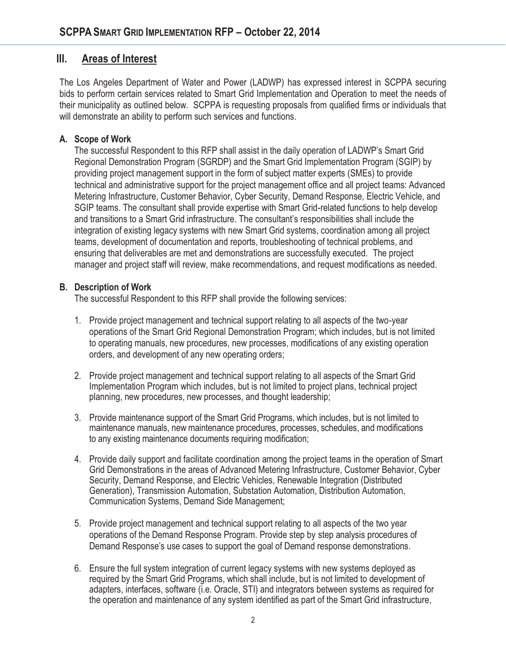### **III. Areas of Interest**

The Los Angeles Department of Water and Power (LADWP) has expressed interest in SCPPA securing bids to perform certain services related to Smart Grid Implementation and Operation to meet the needs of their municipality as outlined below. SCPPA is requesting proposals from qualified firms or individuals that will demonstrate an ability to perform such services and functions.

#### **A. Scope of Work**

The successful Respondent to this RFP shall assist in the daily operation of LADWP's Smart Grid Regional Demonstration Program (SGRDP) and the Smart Grid Implementation Program (SGIP) by providing project management support in the form of subject matter experts (SMEs) to provide technical and administrative support for the project management office and all project teams: Advanced Metering Infrastructure, Customer Behavior, Cyber Security, Demand Response, Electric Vehicle, and SGIP teams. The consultant shall provide expertise with Smart Grid-related functions to help develop and transitions to a Smart Grid infrastructure. The consultant's responsibilities shall include the integration of existing legacy systems with new Smart Grid systems, coordination among all project teams, development of documentation and reports, troubleshooting of technical problems, and ensuring that deliverables are met and demonstrations are successfully executed. The project manager and project staff will review, make recommendations, and request modifications as needed.

#### **B. Description of Work**

The successful Respondent to this RFP shall provide the following services:

- 1. Provide project management and technical support relating to all aspects of the two-year operations of the Smart Grid Regional Demonstration Program; which includes, but is not limited to operating manuals, new procedures, new processes, modifications of any existing operation orders, and development of any new operating orders;
- 2. Provide project management and technical support relating to all aspects of the Smart Grid Implementation Program which includes, but is not limited to project plans, technical project planning, new procedures, new processes, and thought leadership;
- 3. Provide maintenance support of the Smart Grid Programs, which includes, but is not limited to maintenance manuals, new maintenance procedures, processes, schedules, and modifications to any existing maintenance documents requiring modification;
- 4. Provide daily support and facilitate coordination among the project teams in the operation of Smart Grid Demonstrations in the areas of Advanced Metering Infrastructure, Customer Behavior, Cyber Security, Demand Response, and Electric Vehicles, Renewable Integration (Distributed Generation), Transmission Automation, Substation Automation, Distribution Automation, Communication Systems, Demand Side Management;
- 5. Provide project management and technical support relating to all aspects of the two year operations of the Demand Response Program. Provide step by step analysis procedures of Demand Response's use cases to support the goal of Demand response demonstrations.
- 6. Ensure the full system integration of current legacy systems with new systems deployed as required by the Smart Grid Programs, which shall include, but is not limited to development of adapters, interfaces, software (i.e. Oracle, STI) and integrators between systems as required for the operation and maintenance of any system identified as part of the Smart Grid infrastructure,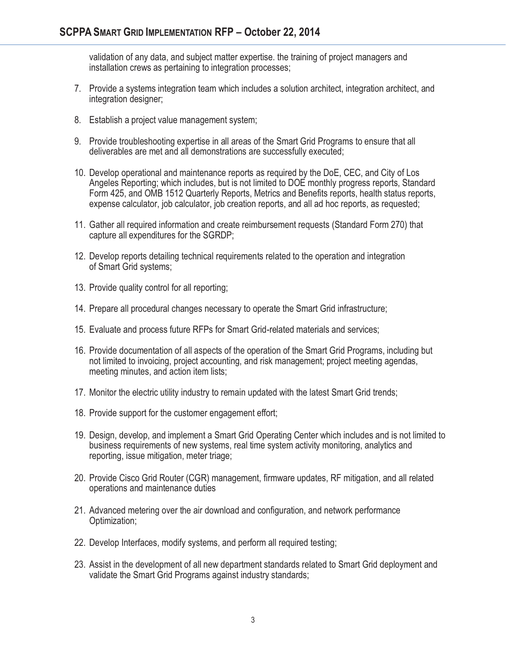validation of any data, and subject matter expertise. the training of project managers and installation crews as pertaining to integration processes;

- 7. Provide a systems integration team which includes a solution architect, integration architect, and integration designer;
- 8. Establish a project value management system;
- 9. Provide troubleshooting expertise in all areas of the Smart Grid Programs to ensure that all deliverables are met and all demonstrations are successfully executed;
- 10. Develop operational and maintenance reports as required by the DoE, CEC, and City of Los Angeles Reporting; which includes, but is not limited to DOE monthly progress reports, Standard Form 425, and OMB 1512 Quarterly Reports, Metrics and Benefits reports, health status reports, expense calculator, job calculator, job creation reports, and all ad hoc reports, as requested;
- 11. Gather all required information and create reimbursement requests (Standard Form 270) that capture all expenditures for the SGRDP;
- 12. Develop reports detailing technical requirements related to the operation and integration of Smart Grid systems;
- 13. Provide quality control for all reporting;
- 14. Prepare all procedural changes necessary to operate the Smart Grid infrastructure;
- 15. Evaluate and process future RFPs for Smart Grid-related materials and services;
- 16. Provide documentation of all aspects of the operation of the Smart Grid Programs, including but not limited to invoicing, project accounting, and risk management; project meeting agendas, meeting minutes, and action item lists;
- 17. Monitor the electric utility industry to remain updated with the latest Smart Grid trends;
- 18. Provide support for the customer engagement effort;
- 19. Design, develop, and implement a Smart Grid Operating Center which includes and is not limited to business requirements of new systems, real time system activity monitoring, analytics and reporting, issue mitigation, meter triage;
- 20. Provide Cisco Grid Router (CGR) management, firmware updates, RF mitigation, and all related operations and maintenance duties
- 21. Advanced metering over the air download and configuration, and network performance Optimization;
- 22. Develop Interfaces, modify systems, and perform all required testing;
- 23. Assist in the development of all new department standards related to Smart Grid deployment and validate the Smart Grid Programs against industry standards;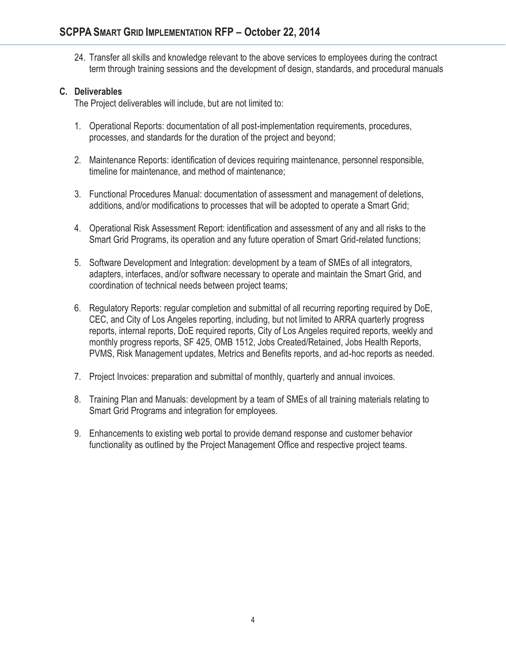24. Transfer all skills and knowledge relevant to the above services to employees during the contract term through training sessions and the development of design, standards, and procedural manuals

#### **C. Deliverables**

The Project deliverables will include, but are not limited to:

- 1. Operational Reports: documentation of all post-implementation requirements, procedures, processes, and standards for the duration of the project and beyond;
- 2. Maintenance Reports: identification of devices requiring maintenance, personnel responsible, timeline for maintenance, and method of maintenance;
- 3. Functional Procedures Manual: documentation of assessment and management of deletions, additions, and/or modifications to processes that will be adopted to operate a Smart Grid;
- 4. Operational Risk Assessment Report: identification and assessment of any and all risks to the Smart Grid Programs, its operation and any future operation of Smart Grid-related functions;
- 5. Software Development and Integration: development by a team of SMEs of all integrators, adapters, interfaces, and/or software necessary to operate and maintain the Smart Grid, and coordination of technical needs between project teams;
- 6. Regulatory Reports: regular completion and submittal of all recurring reporting required by DoE, CEC, and City of Los Angeles reporting, including, but not limited to ARRA quarterly progress reports, internal reports, DoE required reports, City of Los Angeles required reports, weekly and monthly progress reports, SF 425, OMB 1512, Jobs Created/Retained, Jobs Health Reports, PVMS, Risk Management updates, Metrics and Benefits reports, and ad-hoc reports as needed.
- 7. Project Invoices: preparation and submittal of monthly, quarterly and annual invoices.
- 8. Training Plan and Manuals: development by a team of SMEs of all training materials relating to Smart Grid Programs and integration for employees.
- 9. Enhancements to existing web portal to provide demand response and customer behavior functionality as outlined by the Project Management Office and respective project teams.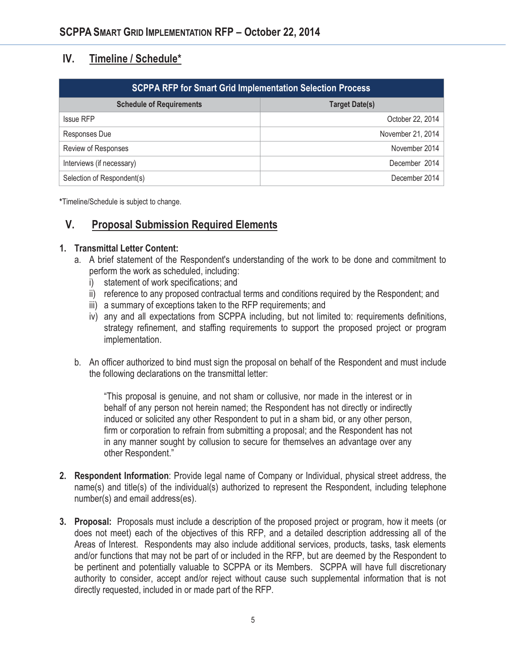## **IV. Timeline / Schedule\***

| <b>SCPPA RFP for Smart Grid Implementation Selection Process</b> |                       |
|------------------------------------------------------------------|-----------------------|
| <b>Schedule of Requirements</b>                                  | <b>Target Date(s)</b> |
| <b>Issue RFP</b>                                                 | October 22, 2014      |
| Responses Due                                                    | November 21, 2014     |
| Review of Responses                                              | November 2014         |
| Interviews (if necessary)                                        | December 2014         |
| Selection of Respondent(s)                                       | December 2014         |

**\***Timeline/Schedule is subject to change.

## **V. Proposal Submission Required Elements**

#### **1. Transmittal Letter Content:**

- a. A brief statement of the Respondent's understanding of the work to be done and commitment to perform the work as scheduled, including:
	- i) statement of work specifications; and
	- ii) reference to any proposed contractual terms and conditions required by the Respondent; and
	- iii) a summary of exceptions taken to the RFP requirements; and
	- iv) any and all expectations from SCPPA including, but not limited to: requirements definitions, strategy refinement, and staffing requirements to support the proposed project or program implementation.
- b. An officer authorized to bind must sign the proposal on behalf of the Respondent and must include the following declarations on the transmittal letter:

"This proposal is genuine, and not sham or collusive, nor made in the interest or in behalf of any person not herein named; the Respondent has not directly or indirectly induced or solicited any other Respondent to put in a sham bid, or any other person, firm or corporation to refrain from submitting a proposal; and the Respondent has not in any manner sought by collusion to secure for themselves an advantage over any other Respondent."

- **2. Respondent Information**: Provide legal name of Company or Individual, physical street address, the name(s) and title(s) of the individual(s) authorized to represent the Respondent, including telephone number(s) and email address(es).
- **3. Proposal:** Proposals must include a description of the proposed project or program, how it meets (or does not meet) each of the objectives of this RFP, and a detailed description addressing all of the Areas of Interest. Respondents may also include additional services, products, tasks, task elements and/or functions that may not be part of or included in the RFP, but are deemed by the Respondent to be pertinent and potentially valuable to SCPPA or its Members. SCPPA will have full discretionary authority to consider, accept and/or reject without cause such supplemental information that is not directly requested, included in or made part of the RFP.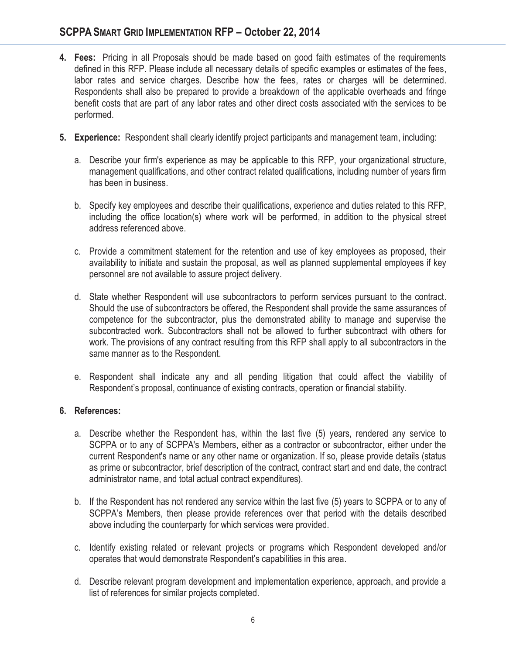- **4. Fees:** Pricing in all Proposals should be made based on good faith estimates of the requirements defined in this RFP. Please include all necessary details of specific examples or estimates of the fees, labor rates and service charges. Describe how the fees, rates or charges will be determined. Respondents shall also be prepared to provide a breakdown of the applicable overheads and fringe benefit costs that are part of any labor rates and other direct costs associated with the services to be performed.
- **5. Experience:** Respondent shall clearly identify project participants and management team, including:
	- a. Describe your firm's experience as may be applicable to this RFP, your organizational structure, management qualifications, and other contract related qualifications, including number of years firm has been in business.
	- b. Specify key employees and describe their qualifications, experience and duties related to this RFP, including the office location(s) where work will be performed, in addition to the physical street address referenced above.
	- c. Provide a commitment statement for the retention and use of key employees as proposed, their availability to initiate and sustain the proposal, as well as planned supplemental employees if key personnel are not available to assure project delivery.
	- d. State whether Respondent will use subcontractors to perform services pursuant to the contract. Should the use of subcontractors be offered, the Respondent shall provide the same assurances of competence for the subcontractor, plus the demonstrated ability to manage and supervise the subcontracted work. Subcontractors shall not be allowed to further subcontract with others for work. The provisions of any contract resulting from this RFP shall apply to all subcontractors in the same manner as to the Respondent.
	- e. Respondent shall indicate any and all pending litigation that could affect the viability of Respondent's proposal, continuance of existing contracts, operation or financial stability.

#### **6. References:**

- a. Describe whether the Respondent has, within the last five (5) years, rendered any service to SCPPA or to any of SCPPA's Members, either as a contractor or subcontractor, either under the current Respondent's name or any other name or organization. If so, please provide details (status as prime or subcontractor, brief description of the contract, contract start and end date, the contract administrator name, and total actual contract expenditures).
- b. If the Respondent has not rendered any service within the last five (5) years to SCPPA or to any of SCPPA's Members, then please provide references over that period with the details described above including the counterparty for which services were provided.
- c. Identify existing related or relevant projects or programs which Respondent developed and/or operates that would demonstrate Respondent's capabilities in this area.
- d. Describe relevant program development and implementation experience, approach, and provide a list of references for similar projects completed.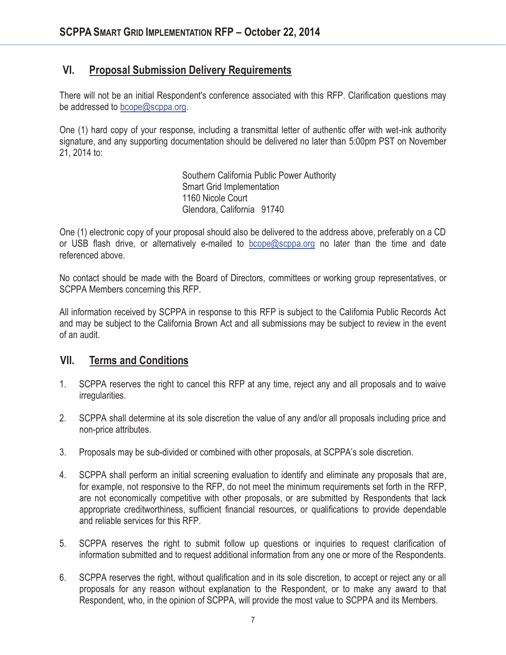## **VI. Proposal Submission Delivery Requirements**

There will not be an initial Respondent's conference associated with this RFP. Clarification questions may be addressed to bcope@scppa.org.

One (1) hard copy of your response, including a transmittal letter of authentic offer with wet-ink authority signature, and any supporting documentation should be delivered no later than 5:00pm PST on November 21, 2014 to:

> Southern California Public Power Authority Smart Grid Implementation 1160 Nicole Court Glendora, California 91740

One (1) electronic copy of your proposal should also be delivered to the address above, preferably on a CD or USB flash drive, or alternatively e-mailed to bcope@scppa.org no later than the time and date referenced above.

No contact should be made with the Board of Directors, committees or working group representatives, or SCPPA Members concerning this RFP.

All information received by SCPPA in response to this RFP is subject to the California Public Records Act and may be subject to the California Brown Act and all submissions may be subject to review in the event of an audit.

#### **VII. Terms and Conditions**

- 1. SCPPA reserves the right to cancel this RFP at any time, reject any and all proposals and to waive irregularities.
- 2. SCPPA shall determine at its sole discretion the value of any and/or all proposals including price and non-price attributes.
- 3. Proposals may be sub-divided or combined with other proposals, at SCPPA's sole discretion.
- 4. SCPPA shall perform an initial screening evaluation to identify and eliminate any proposals that are, for example, not responsive to the RFP, do not meet the minimum requirements set forth in the RFP, are not economically competitive with other proposals, or are submitted by Respondents that lack appropriate creditworthiness, sufficient financial resources, or qualifications to provide dependable and reliable services for this RFP.
- 5. SCPPA reserves the right to submit follow up questions or inquiries to request clarification of information submitted and to request additional information from any one or more of the Respondents.
- 6. SCPPA reserves the right, without qualification and in its sole discretion, to accept or reject any or all proposals for any reason without explanation to the Respondent, or to make any award to that Respondent, who, in the opinion of SCPPA, will provide the most value to SCPPA and its Members.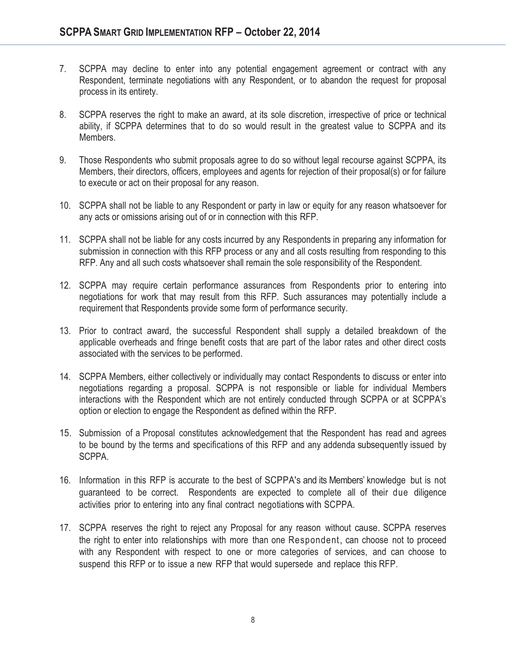- 7. SCPPA may decline to enter into any potential engagement agreement or contract with any Respondent, terminate negotiations with any Respondent, or to abandon the request for proposal process in its entirety.
- 8. SCPPA reserves the right to make an award, at its sole discretion, irrespective of price or technical ability, if SCPPA determines that to do so would result in the greatest value to SCPPA and its Members.
- 9. Those Respondents who submit proposals agree to do so without legal recourse against SCPPA, its Members, their directors, officers, employees and agents for rejection of their proposal(s) or for failure to execute or act on their proposal for any reason.
- 10. SCPPA shall not be liable to any Respondent or party in law or equity for any reason whatsoever for any acts or omissions arising out of or in connection with this RFP.
- 11. SCPPA shall not be liable for any costs incurred by any Respondents in preparing any information for submission in connection with this RFP process or any and all costs resulting from responding to this RFP. Any and all such costs whatsoever shall remain the sole responsibility of the Respondent.
- 12. SCPPA may require certain performance assurances from Respondents prior to entering into negotiations for work that may result from this RFP. Such assurances may potentially include a requirement that Respondents provide some form of performance security.
- 13. Prior to contract award, the successful Respondent shall supply a detailed breakdown of the applicable overheads and fringe benefit costs that are part of the labor rates and other direct costs associated with the services to be performed.
- 14. SCPPA Members, either collectively or individually may contact Respondents to discuss or enter into negotiations regarding a proposal. SCPPA is not responsible or liable for individual Members interactions with the Respondent which are not entirely conducted through SCPPA or at SCPPA's option or election to engage the Respondent as defined within the RFP.
- 15. Submission of a Proposal constitutes acknowledgement that the Respondent has read and agrees to be bound by the terms and specifications of this RFP and any addenda subsequently issued by SCPPA.
- 16. Information in this RFP is accurate to the best of SCPPA's and its Members' knowledge but is not guaranteed to be correct. Respondents are expected to complete all of their due diligence activities prior to entering into any final contract negotiations with SCPPA.
- 17. SCPPA reserves the right to reject any Proposal for any reason without cause. SCPPA reserves the right to enter into relationships with more than one Respondent, can choose not to proceed with any Respondent with respect to one or more categories of services, and can choose to suspend this RFP or to issue a new RFP that would supersede and replace this RFP.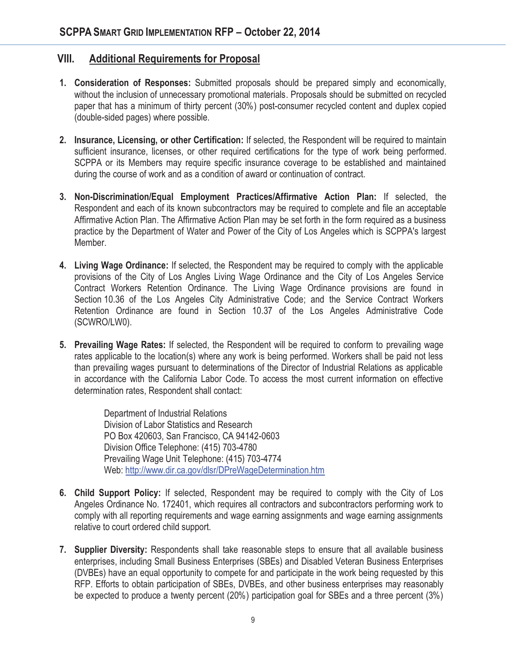### **VIII. Additional Requirements for Proposal**

- **1. Consideration of Responses:** Submitted proposals should be prepared simply and economically, without the inclusion of unnecessary promotional materials. Proposals should be submitted on recycled paper that has a minimum of thirty percent (30%) post-consumer recycled content and duplex copied (double-sided pages) where possible.
- **2. Insurance, Licensing, or other Certification:** If selected, the Respondent will be required to maintain sufficient insurance, licenses, or other required certifications for the type of work being performed. SCPPA or its Members may require specific insurance coverage to be established and maintained during the course of work and as a condition of award or continuation of contract.
- **3. Non-Discrimination/Equal Employment Practices/Affirmative Action Plan:** If selected, the Respondent and each of its known subcontractors may be required to complete and file an acceptable Affirmative Action Plan. The Affirmative Action Plan may be set forth in the form required as a business practice by the Department of Water and Power of the City of Los Angeles which is SCPPA's largest Member.
- **4. Living Wage Ordinance:** If selected, the Respondent may be required to comply with the applicable provisions of the City of Los Angles Living Wage Ordinance and the City of Los Angeles Service Contract Workers Retention Ordinance. The Living Wage Ordinance provisions are found in Section 10.36 of the Los Angeles City Administrative Code; and the Service Contract Workers Retention Ordinance are found in Section 10.37 of the Los Angeles Administrative Code (SCWRO/LW0).
- **5. Prevailing Wage Rates:** If selected, the Respondent will be required to conform to prevailing wage rates applicable to the location(s) where any work is being performed. Workers shall be paid not less than prevailing wages pursuant to determinations of the Director of Industrial Relations as applicable in accordance with the California Labor Code. To access the most current information on effective determination rates, Respondent shall contact:

Department of Industrial Relations Division of Labor Statistics and Research PO Box 420603, San Francisco, CA 94142-0603 Division Office Telephone: (415) 703-4780 Prevailing Wage Unit Telephone: (415) 703-4774 Web: http://www.dir.ca.gov/dlsr/DPreWageDetermination.htm

- **6. Child Support Policy:** If selected, Respondent may be required to comply with the City of Los Angeles Ordinance No. 172401, which requires all contractors and subcontractors performing work to comply with all reporting requirements and wage earning assignments and wage earning assignments relative to court ordered child support.
- **7. Supplier Diversity:** Respondents shall take reasonable steps to ensure that all available business enterprises, including Small Business Enterprises (SBEs) and Disabled Veteran Business Enterprises (DVBEs) have an equal opportunity to compete for and participate in the work being requested by this RFP. Efforts to obtain participation of SBEs, DVBEs, and other business enterprises may reasonably be expected to produce a twenty percent (20%) participation goal for SBEs and a three percent (3%)